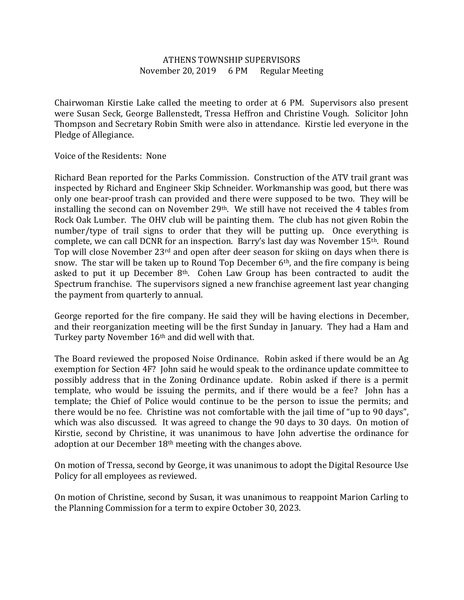## ATHENS TOWNSHIP SUPERVISORS November 20, 2019 6 PM Regular Meeting

Chairwoman Kirstie Lake called the meeting to order at 6 PM. Supervisors also present were Susan Seck, George Ballenstedt, Tressa Heffron and Christine Vough. Solicitor John Thompson and Secretary Robin Smith were also in attendance. Kirstie led everyone in the Pledge of Allegiance.

Voice of the Residents: None

Richard Bean reported for the Parks Commission. Construction of the ATV trail grant was inspected by Richard and Engineer Skip Schneider. Workmanship was good, but there was only one bear-proof trash can provided and there were supposed to be two. They will be installing the second can on November 29th. We still have not received the 4 tables from Rock Oak Lumber. The OHV club will be painting them. The club has not given Robin the number/type of trail signs to order that they will be putting up. Once everything is complete, we can call DCNR for an inspection. Barry's last day was November 15th. Round Top will close November 23rd and open after deer season for skiing on days when there is snow. The star will be taken up to Round Top December  $6<sup>th</sup>$ , and the fire company is being asked to put it up December  $8<sup>th</sup>$ . Cohen Law Group has been contracted to audit the Spectrum franchise. The supervisors signed a new franchise agreement last year changing the payment from quarterly to annual.

George reported for the fire company. He said they will be having elections in December, and their reorganization meeting will be the first Sunday in January. They had a Ham and Turkey party November 16<sup>th</sup> and did well with that.

The Board reviewed the proposed Noise Ordinance. Robin asked if there would be an Ag exemption for Section 4F? John said he would speak to the ordinance update committee to possibly address that in the Zoning Ordinance update. Robin asked if there is a permit template, who would be issuing the permits, and if there would be a fee? John has a template; the Chief of Police would continue to be the person to issue the permits; and there would be no fee. Christine was not comfortable with the jail time of "up to 90 days", which was also discussed. It was agreed to change the 90 days to 30 days. On motion of Kirstie, second by Christine, it was unanimous to have John advertise the ordinance for adoption at our December 18<sup>th</sup> meeting with the changes above.

On motion of Tressa, second by George, it was unanimous to adopt the Digital Resource Use Policy for all employees as reviewed.

On motion of Christine, second by Susan, it was unanimous to reappoint Marion Carling to the Planning Commission for a term to expire October 30, 2023.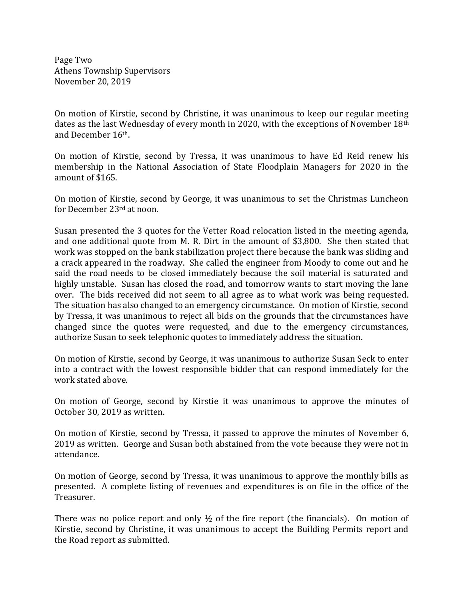Page Two Athens Township Supervisors November 20, 2019

On motion of Kirstie, second by Christine, it was unanimous to keep our regular meeting dates as the last Wednesday of every month in 2020, with the exceptions of November 18th and December 16th.

On motion of Kirstie, second by Tressa, it was unanimous to have Ed Reid renew his membership in the National Association of State Floodplain Managers for 2020 in the amount of \$165.

On motion of Kirstie, second by George, it was unanimous to set the Christmas Luncheon for December 23rd at noon.

Susan presented the 3 quotes for the Vetter Road relocation listed in the meeting agenda, and one additional quote from M. R. Dirt in the amount of \$3,800. She then stated that work was stopped on the bank stabilization project there because the bank was sliding and a crack appeared in the roadway. She called the engineer from Moody to come out and he said the road needs to be closed immediately because the soil material is saturated and highly unstable. Susan has closed the road, and tomorrow wants to start moving the lane over. The bids received did not seem to all agree as to what work was being requested. The situation has also changed to an emergency circumstance. On motion of Kirstie, second by Tressa, it was unanimous to reject all bids on the grounds that the circumstances have changed since the quotes were requested, and due to the emergency circumstances, authorize Susan to seek telephonic quotes to immediately address the situation.

On motion of Kirstie, second by George, it was unanimous to authorize Susan Seck to enter into a contract with the lowest responsible bidder that can respond immediately for the work stated above.

On motion of George, second by Kirstie it was unanimous to approve the minutes of October 30, 2019 as written.

On motion of Kirstie, second by Tressa, it passed to approve the minutes of November 6, 2019 as written. George and Susan both abstained from the vote because they were not in attendance.

On motion of George, second by Tressa, it was unanimous to approve the monthly bills as presented. A complete listing of revenues and expenditures is on file in the office of the Treasurer.

There was no police report and only  $\frac{1}{2}$  of the fire report (the financials). On motion of Kirstie, second by Christine, it was unanimous to accept the Building Permits report and the Road report as submitted.